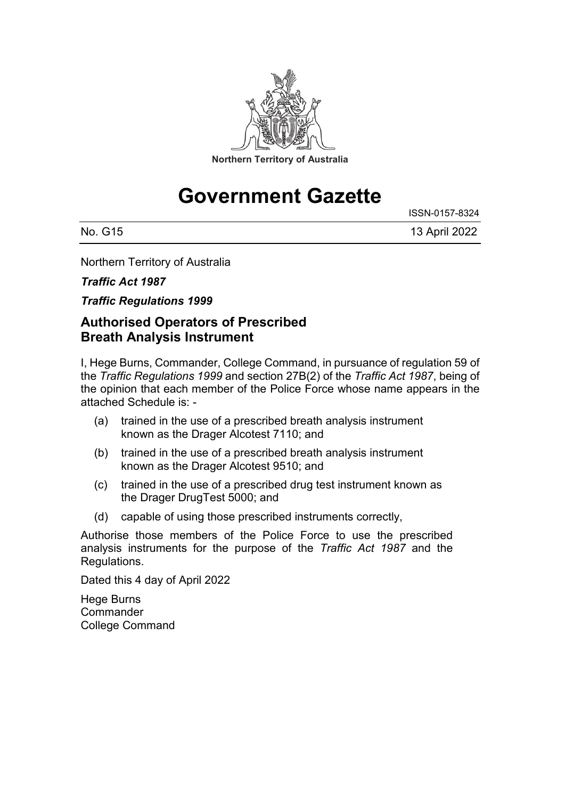

# **Government Gazette**

ISSN-0157-8324

| No. G15 | 13 April 2022 |
|---------|---------------|

Northern Territory of Australia

#### *Traffic Act 1987*

*Traffic Regulations 1999*

#### **Authorised Operators of Prescribed Breath Analysis Instrument**

I, Hege Burns, Commander, College Command, in pursuance of regulation 59 of the *Traffic Regulations 1999* and section 27B(2) of the *Traffic Act 1987*, being of the opinion that each member of the Police Force whose name appears in the attached Schedule is: -

- (a) trained in the use of a prescribed breath analysis instrument known as the Drager Alcotest 7110; and
- (b) trained in the use of a prescribed breath analysis instrument known as the Drager Alcotest 9510; and
- (c) trained in the use of a prescribed drug test instrument known as the Drager DrugTest 5000; and
- (d) capable of using those prescribed instruments correctly,

Authorise those members of the Police Force to use the prescribed analysis instruments for the purpose of the *Traffic Act 1987* and the Regulations.

Dated this 4 day of April 2022

Hege Burns **Commander** College Command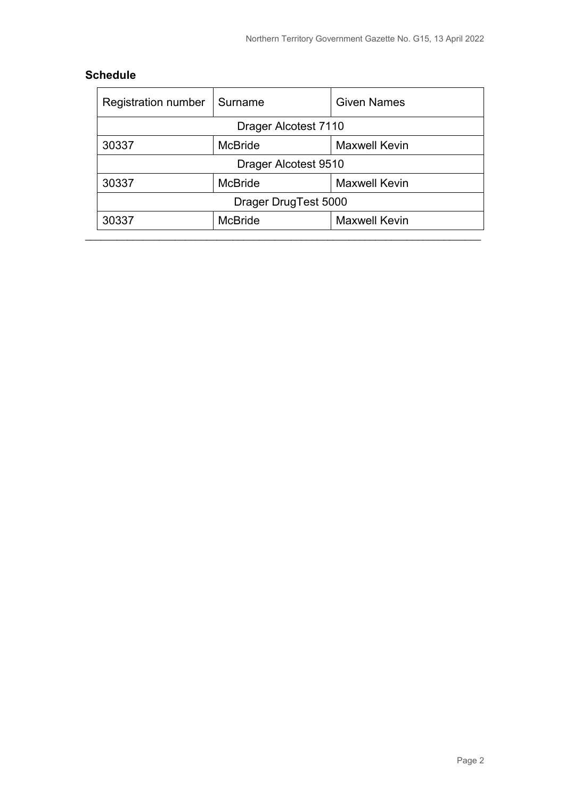#### **Schedule**

| <b>Registration number</b> | Surname        | <b>Given Names</b>   |  |  |
|----------------------------|----------------|----------------------|--|--|
| Drager Alcotest 7110       |                |                      |  |  |
| 30337                      | <b>McBride</b> | <b>Maxwell Kevin</b> |  |  |
| Drager Alcotest 9510       |                |                      |  |  |
| 30337                      | <b>McBride</b> | <b>Maxwell Kevin</b> |  |  |
| Drager DrugTest 5000       |                |                      |  |  |
| 30337                      | <b>McBride</b> | <b>Maxwell Kevin</b> |  |  |
|                            |                |                      |  |  |